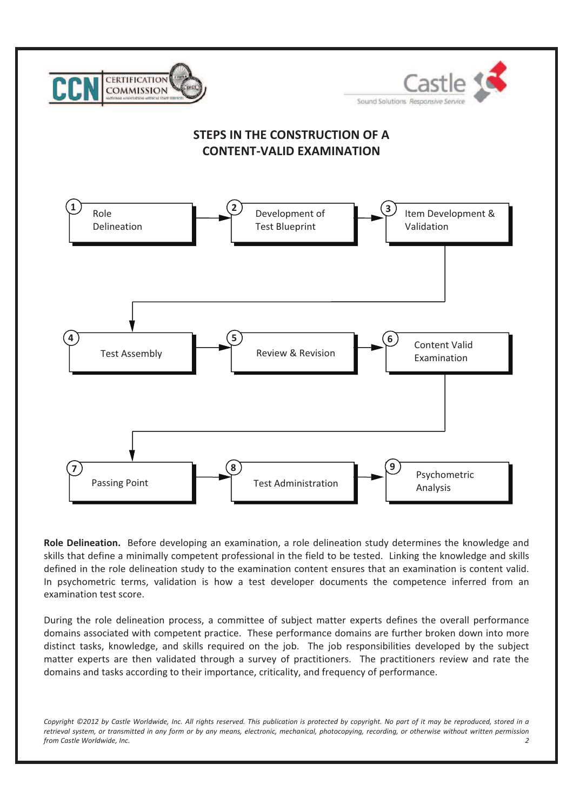

**Role Delineation.** Before developing an examination, a role delineation study determines the knowledge and skills that define a minimally competent professional in the field to be tested. Linking the knowledge and skills defined in the role delineation study to the examination content ensures that an examination is content valid. In psychometric terms, validation is how a test developer documents the competence inferred from an examination test score.

During the role delineation process, a committee of subject matter experts defines the overall performance domains associated with competent practice. These performance domains are further broken down into more distinct tasks, knowledge, and skills required on the job. The job responsibilities developed by the subject matter experts are then validated through a survey of practitioners. The practitioners review and rate the domains and tasks according to their importance, criticality, and frequency of performance.

Copyright ©2012 by Castle Worldwide, Inc. All rights reserved. This publication is protected by copyright. No part of it may be reproduced, stored in a retrieval system, or transmitted in any form or by any means, electronic, mechanical, photocopying, recording, or otherwise without written permission *from Castle Worldwide, Inc. 2*